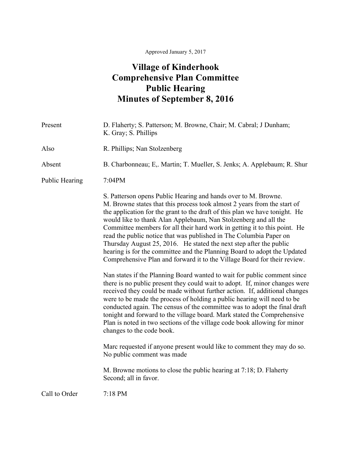## **Village of Kinderhook Comprehensive Plan Committee Public Hearing Minutes of September 8, 2016**

| Present               | D. Flaherty; S. Patterson; M. Browne, Chair; M. Cabral; J Dunham;<br>K. Gray; S. Phillips                                                                                                                                                                                                                                                                                                                                                                                                                                                                                                                                                                                     |
|-----------------------|-------------------------------------------------------------------------------------------------------------------------------------------------------------------------------------------------------------------------------------------------------------------------------------------------------------------------------------------------------------------------------------------------------------------------------------------------------------------------------------------------------------------------------------------------------------------------------------------------------------------------------------------------------------------------------|
| Also                  | R. Phillips; Nan Stolzenberg                                                                                                                                                                                                                                                                                                                                                                                                                                                                                                                                                                                                                                                  |
| Absent                | B. Charbonneau; E., Martin; T. Mueller, S. Jenks; A. Applebaum; R. Shur                                                                                                                                                                                                                                                                                                                                                                                                                                                                                                                                                                                                       |
| <b>Public Hearing</b> | 7:04PM                                                                                                                                                                                                                                                                                                                                                                                                                                                                                                                                                                                                                                                                        |
|                       | S. Patterson opens Public Hearing and hands over to M. Browne.<br>M. Browne states that this process took almost 2 years from the start of<br>the application for the grant to the draft of this plan we have tonight. He<br>would like to thank Alan Applebaum, Nan Stolzenberg and all the<br>Committee members for all their hard work in getting it to this point. He<br>read the public notice that was published in The Columbia Paper on<br>Thursday August 25, 2016. He stated the next step after the public<br>hearing is for the committee and the Planning Board to adopt the Updated<br>Comprehensive Plan and forward it to the Village Board for their review. |
|                       | Nan states if the Planning Board wanted to wait for public comment since<br>there is no public present they could wait to adopt. If, minor changes were<br>received they could be made without further action. If, additional changes<br>were to be made the process of holding a public hearing will need to be<br>conducted again. The census of the committee was to adopt the final draft<br>tonight and forward to the village board. Mark stated the Comprehensive<br>Plan is noted in two sections of the village code book allowing for minor<br>changes to the code book.                                                                                            |
|                       | Marc requested if anyone present would like to comment they may do so.<br>No public comment was made                                                                                                                                                                                                                                                                                                                                                                                                                                                                                                                                                                          |
|                       | M. Browne motions to close the public hearing at 7:18; D. Flaherty<br>Second; all in favor.                                                                                                                                                                                                                                                                                                                                                                                                                                                                                                                                                                                   |
| Call to Order         | 7:18 PM                                                                                                                                                                                                                                                                                                                                                                                                                                                                                                                                                                                                                                                                       |